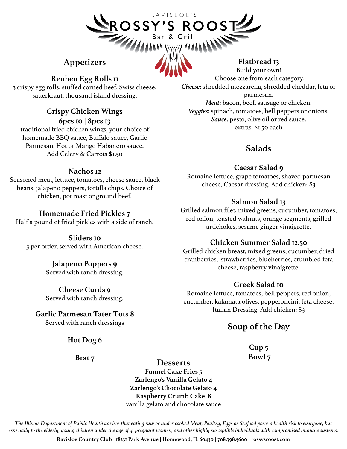# ROSSY'S ROOST

 $R$  A V I S I O F 'S

# **Appetizers**

# **Reuben Egg Rolls 11**

3 crispy egg rolls, stuffed corned beef, Swiss cheese, sauerkraut, thousand island dressing.

### **Crispy Chicken Wings 6pcs 10 | 8pcs 13**

traditional fried chicken wings, your choice of homemade BBQ sauce, Buffalo sauce, Garlic Parmesan, Hot or Mango Habanero sauce. Add Celery & Carrots \$1.50

### **Nachos 12**

Seasoned meat, lettuce, tomatoes, cheese sauce, black beans, jalapeno peppers, tortilla chips. Choice of chicken, pot roast or ground beef.

# **Homemade Fried Pickles 7**

Half a pound of fried pickles with a side of ranch.

**Sliders 10** 3 per order, served with American cheese.

# **Jalapeno Poppers 9**

Served with ranch dressing.

**Cheese Curds 9** Served with ranch dressing.

**Garlic Parmesan Tater Tots 8** Served with ranch dressings

**Hot Dog 6**

**Brat 7**

# **Flatbread 13**

Build your own! Choose one from each category. *Cheese*: shredded mozzarella, shredded cheddar, feta or parmesan. *Meat*: bacon, beef, sausage or chicken. *Veggies*: spinach, tomatoes, bell peppers or onions. *Sauce*: pesto, olive oil or red sauce. extras: \$1.50 each

# **Salads**

# **Caesar Salad 9**

Romaine lettuce, grape tomatoes, shaved parmesan cheese, Caesar dressing. Add chicken: \$3

# **Salmon Salad 13**

Grilled salmon filet, mixed greens, cucumber, tomatoes, red onion, toasted walnuts, orange segments, grilled artichokes, sesame ginger vinaigrette.

# **Chicken Summer Salad 12.50**

Grilled chicken breast, mixed greens, cucumber, dried cranberries, strawberries, blueberries, crumbled feta cheese, raspberry vinaigrette.

# **Greek Salad 10**

Romaine lettuce, tomatoes, bell peppers, red onion, cucumber, kalamata olives, pepperoncini, feta cheese, Italian Dressing. Add chicken: \$3

# **Soup of the Day**

**Cup 5 Bowl 7**

# **Desserts**

**Funnel Cake Fries 5 Zarlengo's Vanilla Gelato 4 Zarlengo's Chocolate Gelato 4 Raspberry Crumb Cake 8** vanilla gelato and chocolate sauce

*The Illinois Department of Public Health advises that eating raw or under cooked Meat, Poultry, Eggs or Seafood poses a health risk to everyone, but especially to the elderly, young children under the age of 4, pregnant women, and other highly susceptible individuals with compromised immune systems.*

**Ravisloe Country Club | 18231 Park Avenue | Homewood, IL 60430 | 708.798.5600 | rossysroost.com**